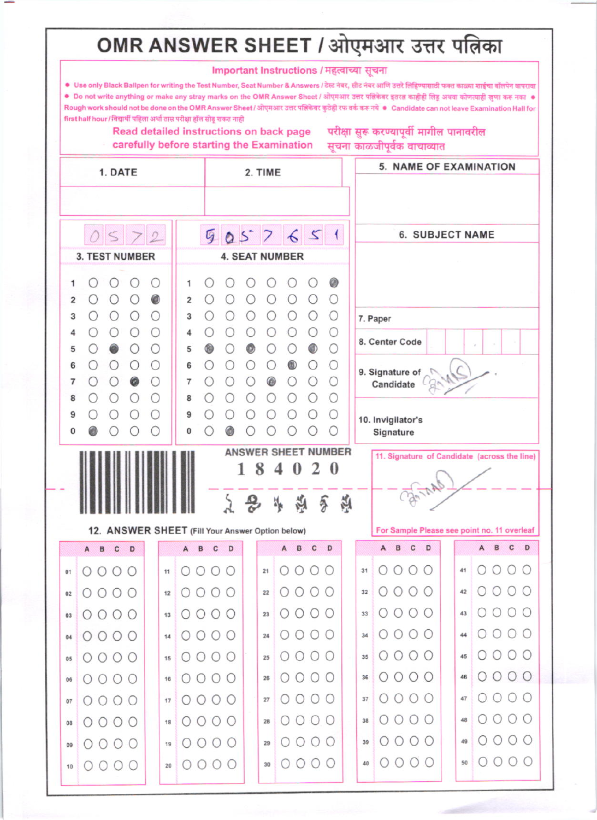## OMR ANSWER SHEET / ओएमआर उत्तर पत्निका

|                            |                                                                                                                                                                                                                                                                                                               |            |                 |                |                    |                                  |             |   |   |                | Important Instructions / महत्वाच्या सूचना                                            |             |                          |    |                                              |                                |             |         |                             |  |                                             |                   |                       |  |
|----------------------------|---------------------------------------------------------------------------------------------------------------------------------------------------------------------------------------------------------------------------------------------------------------------------------------------------------------|------------|-----------------|----------------|--------------------|----------------------------------|-------------|---|---|----------------|--------------------------------------------------------------------------------------|-------------|--------------------------|----|----------------------------------------------|--------------------------------|-------------|---------|-----------------------------|--|---------------------------------------------|-------------------|-----------------------|--|
|                            | ● Use only Black Ballpen for writing the Test Number, Seat Number & Answers / टेस्ट नंबर, सीट नंबर आणि उत्तरे लिहिण्यासाठी फक्त काळ्या शाईचा बॉलपेन वापरावा<br>● Do not write anything or make any stray marks on the OMR Answer Sheet / ओएमआर उत्तर पत्निकेवर इतरत काहीही लिहू अथवा कोणत्याही खुणा करू नका ● |            |                 |                |                    |                                  |             |   |   |                |                                                                                      |             |                          |    |                                              |                                |             |         |                             |  |                                             |                   |                       |  |
|                            | Rough work should not be done on the OMR Answer Sheet / ओएमआर उत्तर पतिकेवर कुठेही रफ वर्क करू नये • Candidate can not leave Examination Hall for<br>first half hour / विद्यार्थी पहिला अर्धा तास परीक्षा हॉल सोडू शकत नाही                                                                                   |            |                 |                |                    |                                  |             |   |   |                |                                                                                      |             |                          |    |                                              |                                |             |         |                             |  |                                             |                   |                       |  |
|                            |                                                                                                                                                                                                                                                                                                               |            |                 |                |                    |                                  |             |   |   |                | Read detailed instructions on back page<br>carefully before starting the Examination |             |                          |    |                                              |                                |             |         | सूचना काळजीपूर्वक वाचाव्यात |  | परीक्षा सुरू करण्यापूर्वी मागील पानावरील    |                   |                       |  |
|                            |                                                                                                                                                                                                                                                                                                               | 1. DATE    |                 |                |                    |                                  |             |   |   |                |                                                                                      |             |                          |    |                                              |                                |             |         |                             |  | 5. NAME OF EXAMINATION                      |                   |                       |  |
|                            |                                                                                                                                                                                                                                                                                                               |            |                 |                |                    | 2. TIME                          |             |   |   |                |                                                                                      |             |                          |    |                                              |                                |             |         |                             |  |                                             |                   |                       |  |
|                            |                                                                                                                                                                                                                                                                                                               |            |                 |                |                    |                                  |             |   |   |                |                                                                                      |             |                          |    |                                              |                                |             |         |                             |  |                                             |                   |                       |  |
|                            |                                                                                                                                                                                                                                                                                                               |            | 0572            |                |                    |                                  |             |   |   |                |                                                                                      |             |                          |    |                                              |                                |             |         |                             |  | <b>6. SUBJECT NAME</b>                      |                   |                       |  |
|                            | <b>3. TEST NUMBER</b>                                                                                                                                                                                                                                                                                         |            |                 |                |                    | 9057651<br><b>4. SEAT NUMBER</b> |             |   |   |                |                                                                                      |             |                          |    |                                              |                                |             |         |                             |  |                                             |                   |                       |  |
| 1                          |                                                                                                                                                                                                                                                                                                               |            |                 |                |                    | 1                                |             |   |   |                |                                                                                      |             | 0                        |    |                                              |                                |             |         |                             |  |                                             |                   |                       |  |
| 2                          |                                                                                                                                                                                                                                                                                                               | $\bigcirc$ | O               | $\circledcirc$ |                    | 2                                |             | O |   | О              | О                                                                                    | O           | $\circ$                  |    |                                              |                                |             |         |                             |  |                                             |                   |                       |  |
| 3                          |                                                                                                                                                                                                                                                                                                               | $\bigcirc$ | O               | $\bigcirc$     |                    | 3                                |             |   |   |                |                                                                                      | O           | $\circ$                  |    |                                              | 7. Paper                       |             |         |                             |  |                                             |                   |                       |  |
| 5                          |                                                                                                                                                                                                                                                                                                               |            | $\bigcirc$<br>O |                |                    | 4<br>5                           |             |   | ◉ |                | О                                                                                    | O           | $\bigcirc$<br>$\bigcirc$ |    |                                              | 8. Center Code                 |             |         |                             |  |                                             |                   |                       |  |
| 6                          |                                                                                                                                                                                                                                                                                                               |            | $\bigcirc$      |                |                    | 6                                |             | O |   | О              | $^{\circ}$                                                                           | $\circ$     | $\circ$                  |    |                                              | 9. Signature of                |             |         |                             |  |                                             |                   |                       |  |
| 7                          |                                                                                                                                                                                                                                                                                                               | O          | 0               | O              |                    | 7                                |             | О | O | $\circledcirc$ |                                                                                      | O           | $\circ$                  |    |                                              | Candidate                      |             |         |                             |  |                                             |                   |                       |  |
| 8<br>9                     |                                                                                                                                                                                                                                                                                                               |            | O               | O              |                    | 8<br>9                           |             |   | О | О              | О                                                                                    | $\circ$     | O<br>O                   |    |                                              |                                |             |         |                             |  |                                             |                   |                       |  |
|                            |                                                                                                                                                                                                                                                                                                               |            |                 |                |                    | 0                                |             |   |   |                |                                                                                      |             | $\bigcirc$               |    |                                              | 10. Invigilator's<br>Signature |             |         |                             |  |                                             |                   |                       |  |
| <b>ANSWER SHEET NUMBER</b> |                                                                                                                                                                                                                                                                                                               |            |                 |                |                    |                                  |             |   |   |                |                                                                                      |             |                          |    | 11. Signature of Candidate (across the line) |                                |             |         |                             |  |                                             |                   |                       |  |
|                            |                                                                                                                                                                                                                                                                                                               |            |                 |                | 8<br>1<br>$\theta$ |                                  |             |   |   |                |                                                                                      |             |                          |    |                                              |                                |             |         |                             |  |                                             |                   |                       |  |
|                            |                                                                                                                                                                                                                                                                                                               |            |                 |                |                    |                                  |             |   |   |                |                                                                                      |             |                          |    |                                              |                                |             |         |                             |  |                                             |                   |                       |  |
|                            |                                                                                                                                                                                                                                                                                                               |            |                 |                |                    |                                  |             |   |   |                |                                                                                      |             |                          | 75 |                                              |                                |             |         |                             |  |                                             |                   |                       |  |
|                            | A B C                                                                                                                                                                                                                                                                                                         |            | $\sqrt{D}$      |                |                    | $\mathsf{A}$                     | c<br>B      | D |   |                | 12. ANSWER SHEET (Fill Your Answer Option below)<br>$\mathsf{B}$<br>$\overline{A}$   | C D         |                          |    |                                              | $\mathsf{A}$                   | B           | c       | D                           |  | For Sample Please see point no. 11 overleaf | $\mathbf{B}$<br>A | $\mathbf c$<br>$\Box$ |  |
| 01                         | $0000$                                                                                                                                                                                                                                                                                                        |            |                 |                | 11                 | $\circ$                          | $O$ $O$ $O$ |   |   | 21             | $\bigcirc$                                                                           | $O$ $O$ $O$ |                          |    | 31                                           | 0                              | 000         |         |                             |  | $\circ$<br>41                               |                   | 000                   |  |
| 02                         | $0000$                                                                                                                                                                                                                                                                                                        |            |                 |                | 12                 | О                                | 000         |   |   | 22             | O                                                                                    | $O$ $O$ $O$ |                          |    | 32                                           | O                              | 000         |         |                             |  | O<br>42                                     |                   | 000                   |  |
| 03                         | $0000$                                                                                                                                                                                                                                                                                                        |            |                 |                | 13                 | O                                | 000         |   |   | 23             | $\bigcirc$                                                                           | $O$ $O$ $O$ |                          |    | 33                                           | O                              | $O$ $O$ $O$ |         |                             |  | O<br>43                                     |                   | 000                   |  |
| 04                         | $0000$                                                                                                                                                                                                                                                                                                        |            |                 |                | 14                 | $\circ$                          | 000         |   |   | 24             | $\bigcirc$                                                                           | 000         |                          |    | 34                                           | $\left( \quad \right)$         | $\circ$     | $O$ $O$ |                             |  | $\circ$<br>44                               |                   | 000                   |  |
| 05                         | $0000$                                                                                                                                                                                                                                                                                                        |            |                 |                | 15                 | $\bigcirc$                       | 000         |   |   | 25             | $\left( \right)$                                                                     | $\circ$     | O                        |    | 35                                           | $\left( \right)$               | $\circ$     | $O$ $O$ |                             |  | $\bigcirc$<br>45                            | $\circ$           | O <sub>O</sub>        |  |
| 06                         | $\circ$<br>$\bigcirc$                                                                                                                                                                                                                                                                                         | $\circ$    |                 |                | 16                 | $\bigcirc$                       | 000         |   |   | 26             | $\circ$                                                                              | 000         |                          |    | 36                                           | O                              | 000         |         |                             |  | O<br>46                                     |                   | 000                   |  |
| 07                         | O                                                                                                                                                                                                                                                                                                             | 000        |                 |                | 17                 | O                                | 000         |   |   | 27             |                                                                                      | 000         |                          |    | 37                                           | $\left( \right)$               | 000         |         |                             |  | $\left( \right)$<br>47                      |                   | 000                   |  |
| 08                         | $0000$                                                                                                                                                                                                                                                                                                        |            |                 |                | 18                 | $\circ$                          | 000         |   |   | 28             | $\left( \right)$                                                                     | 000         |                          |    | 38                                           | $\bigcirc$                     | $O$ $O$ $O$ |         |                             |  | O<br>48                                     |                   | 000                   |  |
| 09                         | $0000$                                                                                                                                                                                                                                                                                                        |            |                 |                | 19                 | O                                | 000         |   |   | 29             |                                                                                      | $0000$      |                          |    | 39                                           | $\bigcirc$                     | $\circ$     | $\circ$ |                             |  | 49                                          | $\circ$           | $O$ $O$               |  |
| 10                         | $0000$                                                                                                                                                                                                                                                                                                        |            |                 |                | 20                 | $\circ$                          | 000         |   |   | 30             | ( )                                                                                  | 00          | $\circ$                  |    | 40                                           | $\circ$                        | $\circ$     | $O$ $O$ |                             |  | $\bigcirc$<br>50                            | O                 | $\circ$               |  |
|                            |                                                                                                                                                                                                                                                                                                               |            |                 |                |                    |                                  |             |   |   |                |                                                                                      |             |                          |    |                                              |                                |             |         |                             |  |                                             |                   |                       |  |